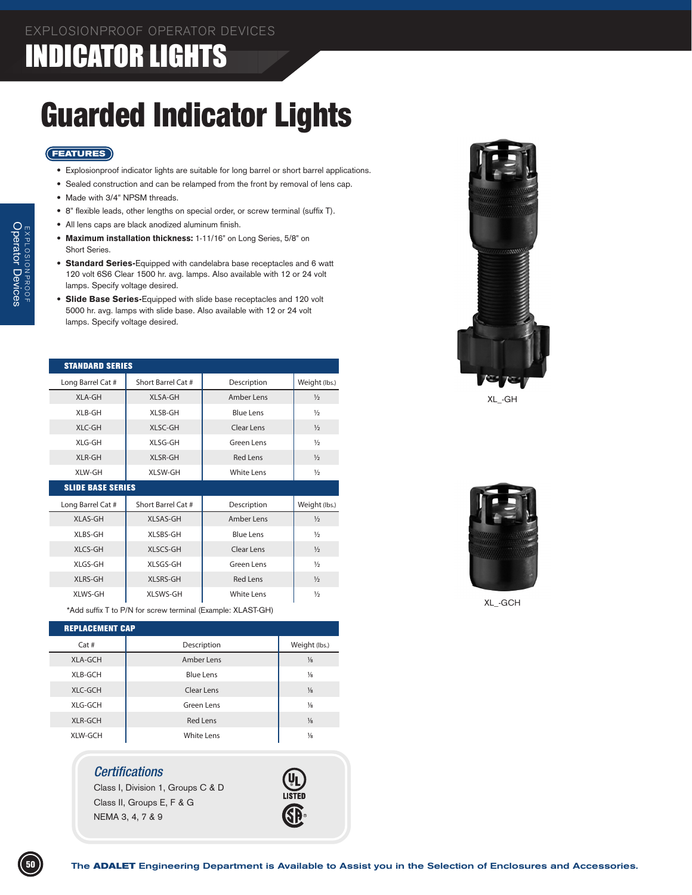# INDICATOR LIGHT

# Guarded Indicator Lights

## **FEATURES**

- • Explosionproof indicator lights are suitable for long barrel or short barrel applications.
- Sealed construction and can be relamped from the front by removal of lens cap.
- Made with 3/4" NPSM threads.
- • 8" flexible leads, other lengths on special order, or screw terminal (suffix T).
- • All lens caps are black anodized aluminum finish.
- Maximum installation thickness: 1-11/16" on Long Series, 5/8" on Short Series.
- Standard Series-Equipped with candelabra base receptacles and 6 watt 120 volt 6S6 Clear 1500 hr. avg. lamps. Also available with 12 or 24 volt lamps. Specify voltage desired.
- Slide Base Series-Equipped with slide base receptacles and 120 volt 5000 hr. avg. lamps with slide base. Also available with 12 or 24 volt lamps. Specify voltage desired.

| <b>STANDARD SERIES</b>   |                    |                   |               |  |  |
|--------------------------|--------------------|-------------------|---------------|--|--|
| Long Barrel Cat #        | Short Barrel Cat # | Description       | Weight (lbs.) |  |  |
| XLA-GH                   | XLSA-GH            | Amber Lens        | $\frac{1}{2}$ |  |  |
| XLB-GH                   | XLSB-GH            | <b>Blue Lens</b>  | $\frac{1}{2}$ |  |  |
| XLC-GH                   | XLSC-GH            | Clear Lens        | $\frac{1}{2}$ |  |  |
| XLG-GH                   | XLSG-GH            | Green Lens        | $\frac{1}{2}$ |  |  |
| XLR-GH                   | <b>XLSR-GH</b>     | <b>Red Lens</b>   | $\frac{1}{2}$ |  |  |
| XLW-GH                   | <b>XLSW-GH</b>     | <b>White Lens</b> | $\frac{1}{2}$ |  |  |
| <b>SLIDE BASE SERIES</b> |                    |                   |               |  |  |
|                          |                    |                   |               |  |  |
| Long Barrel Cat #        | Short Barrel Cat # | Description       | Weight (lbs.) |  |  |
| <b>XLAS-GH</b>           | XLSAS-GH           | Amber Lens        | $\frac{1}{2}$ |  |  |
| XLBS-GH                  | XLSBS-GH           | <b>Blue Lens</b>  | $\frac{1}{2}$ |  |  |
| XLCS-GH                  | XLSCS-GH           | Clear Lens        | $\frac{1}{2}$ |  |  |
| XLGS-GH                  | XLSGS-GH           | Green Lens        | $\frac{1}{2}$ |  |  |
| <b>XLRS-GH</b>           | <b>XLSRS-GH</b>    | <b>Red Lens</b>   | $\frac{1}{2}$ |  |  |
| XLWS-GH                  | XLSWS-GH           | <b>White Lens</b> | $\frac{1}{2}$ |  |  |



| <b>REPLACEMENT CAP</b> |                   |               |  |  |  |
|------------------------|-------------------|---------------|--|--|--|
| Cat#                   | Description       | Weight (lbs.) |  |  |  |
| <b>XLA-GCH</b>         | Amber Lens        | $\frac{1}{8}$ |  |  |  |
| XLB-GCH                | <b>Blue Lens</b>  | $\frac{1}{8}$ |  |  |  |
| XLC-GCH                | Clear Lens        | $\frac{1}{8}$ |  |  |  |
| XLG-GCH                | Green Lens        | $\frac{1}{8}$ |  |  |  |
| XLR-GCH                | <b>Red Lens</b>   | $\frac{1}{8}$ |  |  |  |
| XLW-GCH                | <b>White Lens</b> | $\frac{1}{8}$ |  |  |  |

## *Certifications*

Class I, Division 1, Groups C & D Class II, Groups E, F & G NEMA 3, 4, 7 & 9





XL\_-GH



XL\_-GCH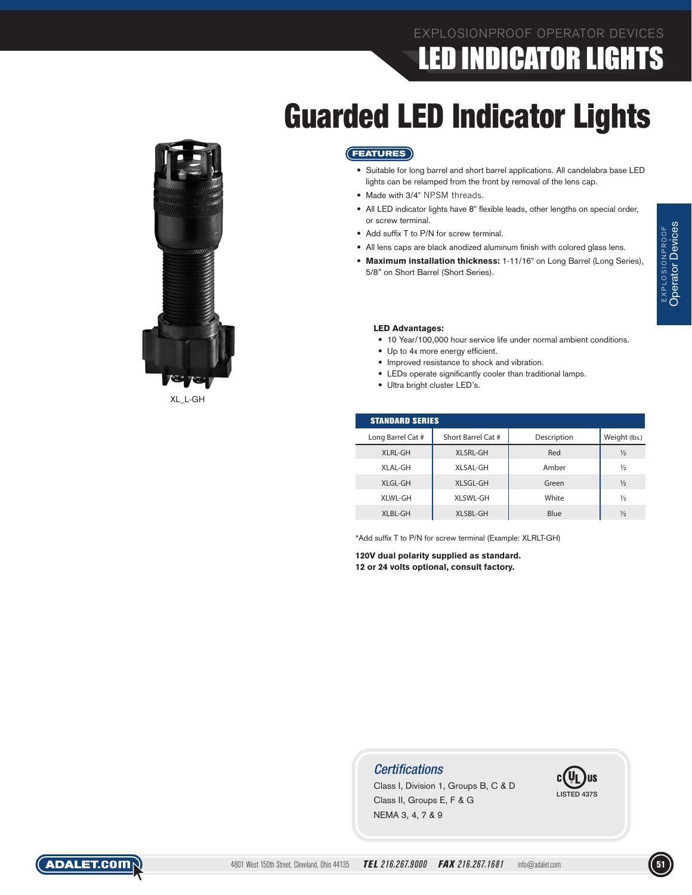# EXPLOSIONPROOF OPERATOR DEVICES LED INDICATOR LIGHTS

# Guarded LED Indicator Lights



XL\_L-GH

### **FEATURES**

- Suitable for long barrel and short barrel applications. All candelabra base LED lights can be relamped from the front by removal of the lens cap.
- Made with 3/4" NPSM threads.
- All LED indicator lights have 8" flexible leads, other lengths on special order, or screw terminal.
- Add suffix T to P/N for screw terminal.
- All lens caps are black anodized aluminum finish with colored glass lens.
- Maximum installation thickness: 1-11/16" on Long Barrel (Long Series), 5/8" on Short Barrel (Short Series).

#### LED Advantages:

- 10 Year/100,000 hour service life under normal ambient conditions.
- Up to 4x more energy efficient.
- Improved resistance to shock and vibration.
- • LEDs operate significantly cooler than traditional lamps.
- Ultra bright cluster LED's.

| <b>STANDARD SERIES</b> |                    |             |               |  |  |
|------------------------|--------------------|-------------|---------------|--|--|
| Long Barrel Cat #      | Short Barrel Cat # | Description | Weight (lbs.) |  |  |
| <b>XLRL-GH</b>         | <b>XLSRL-GH</b>    | Red         | $\frac{1}{2}$ |  |  |
| XLAL-GH                | XLSAL-GH           | Amber       | ⅓             |  |  |
| XLGL-GH                | XLSGL-GH           | Green       | $\frac{1}{2}$ |  |  |
| XLWL-GH                | XLSWL-GH           | White       | ⅓             |  |  |
| XLBL-GH                | XLSBL-GH           | Blue        | $\frac{1}{2}$ |  |  |

\*Add suffix T to P/N for screw terminal (Example: XLRLT-GH)

120V dual polarity supplied as standard. 12 or 24 volts optional, consult factory.

## *Certifications*

Class I, Division 1, Groups B, C & D Class II, Groups E, F & G NEMA 3, 4, 7 & 9